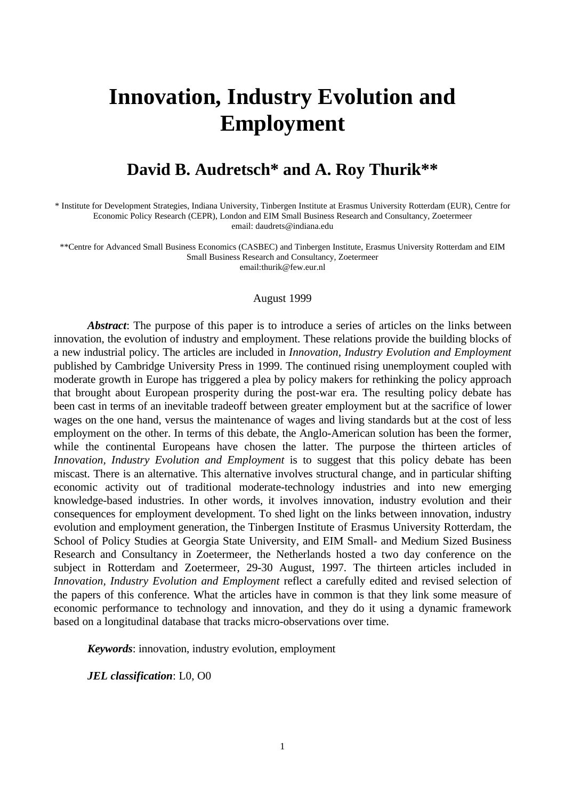# **Innovation, Industry Evolution and Employment**

# **David B. Audretsch\* and A. Roy Thurik\*\***

\* Institute for Development Strategies, Indiana University, Tinbergen Institute at Erasmus University Rotterdam (EUR), Centre for Economic Policy Research (CEPR), London and EIM Small Business Research and Consultancy, Zoetermeer email: daudrets@indiana.edu

\*\*Centre for Advanced Small Business Economics (CASBEC) and Tinbergen Institute, Erasmus University Rotterdam and EIM Small Business Research and Consultancy, Zoetermeer email:thurik@few.eur.nl

#### August 1999

*Abstract*: The purpose of this paper is to introduce a series of articles on the links between innovation, the evolution of industry and employment. These relations provide the building blocks of a new industrial policy. The articles are included in *Innovation, Industry Evolution and Employment* published by Cambridge University Press in 1999. The continued rising unemployment coupled with moderate growth in Europe has triggered a plea by policy makers for rethinking the policy approach that brought about European prosperity during the post-war era. The resulting policy debate has been cast in terms of an inevitable tradeoff between greater employment but at the sacrifice of lower wages on the one hand, versus the maintenance of wages and living standards but at the cost of less employment on the other. In terms of this debate, the Anglo-American solution has been the former, while the continental Europeans have chosen the latter. The purpose the thirteen articles of *Innovation, Industry Evolution and Employment* is to suggest that this policy debate has been miscast. There is an alternative. This alternative involves structural change, and in particular shifting economic activity out of traditional moderate-technology industries and into new emerging knowledge-based industries. In other words, it involves innovation, industry evolution and their consequences for employment development. To shed light on the links between innovation, industry evolution and employment generation, the Tinbergen Institute of Erasmus University Rotterdam, the School of Policy Studies at Georgia State University, and EIM Small- and Medium Sized Business Research and Consultancy in Zoetermeer, the Netherlands hosted a two day conference on the subject in Rotterdam and Zoetermeer, 29-30 August, 1997. The thirteen articles included in *Innovation, Industry Evolution and Employment* reflect a carefully edited and revised selection of the papers of this conference. What the articles have in common is that they link some measure of economic performance to technology and innovation, and they do it using a dynamic framework based on a longitudinal database that tracks micro-observations over time.

*Keywords*: innovation, industry evolution, employment

*JEL classification*: L0, O0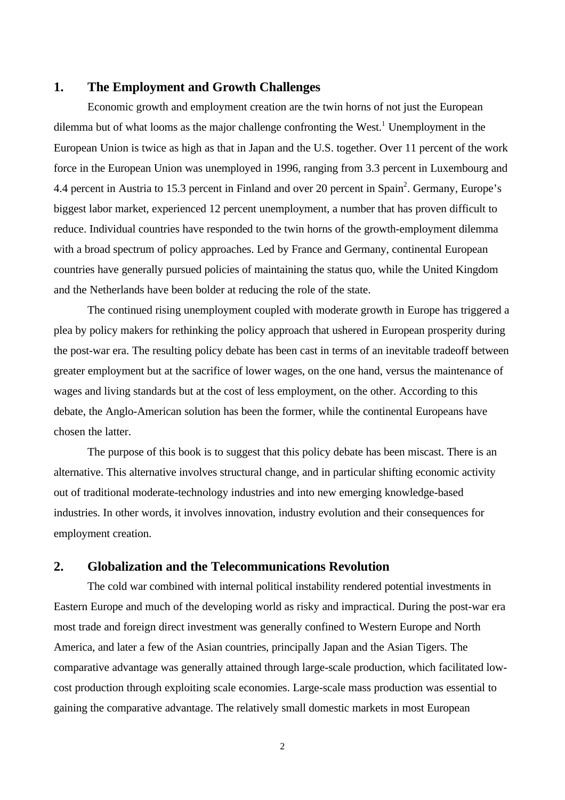# **1. The Employment and Growth Challenges**

Economic growth and employment creation are the twin horns of not just the European dilemma but of what looms as the major challenge confronting the West.<sup>1</sup> Unemployment in the European Union is twice as high as that in Japan and the U.S. together. Over 11 percent of the work force in the European Union was unemployed in 1996, ranging from 3.3 percent in Luxembourg and 4.4 percent in Austria to 15.3 percent in Finland and over 20 percent in Spain<sup>2</sup>. Germany, Europe's biggest labor market, experienced 12 percent unemployment, a number that has proven difficult to reduce. Individual countries have responded to the twin horns of the growth-employment dilemma with a broad spectrum of policy approaches. Led by France and Germany, continental European countries have generally pursued policies of maintaining the status quo, while the United Kingdom and the Netherlands have been bolder at reducing the role of the state.

The continued rising unemployment coupled with moderate growth in Europe has triggered a plea by policy makers for rethinking the policy approach that ushered in European prosperity during the post-war era. The resulting policy debate has been cast in terms of an inevitable tradeoff between greater employment but at the sacrifice of lower wages, on the one hand, versus the maintenance of wages and living standards but at the cost of less employment, on the other. According to this debate, the Anglo-American solution has been the former, while the continental Europeans have chosen the latter.

The purpose of this book is to suggest that this policy debate has been miscast. There is an alternative. This alternative involves structural change, and in particular shifting economic activity out of traditional moderate-technology industries and into new emerging knowledge-based industries. In other words, it involves innovation, industry evolution and their consequences for employment creation.

# **2. Globalization and the Telecommunications Revolution**

The cold war combined with internal political instability rendered potential investments in Eastern Europe and much of the developing world as risky and impractical. During the post-war era most trade and foreign direct investment was generally confined to Western Europe and North America, and later a few of the Asian countries, principally Japan and the Asian Tigers. The comparative advantage was generally attained through large-scale production, which facilitated lowcost production through exploiting scale economies. Large-scale mass production was essential to gaining the comparative advantage. The relatively small domestic markets in most European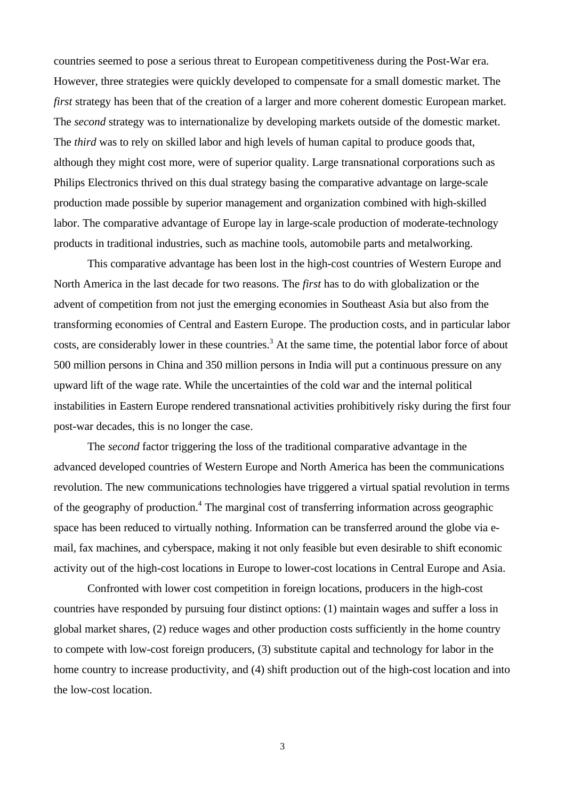countries seemed to pose a serious threat to European competitiveness during the Post-War era. However, three strategies were quickly developed to compensate for a small domestic market. The *first* strategy has been that of the creation of a larger and more coherent domestic European market. The *second* strategy was to internationalize by developing markets outside of the domestic market. The *third* was to rely on skilled labor and high levels of human capital to produce goods that, although they might cost more, were of superior quality. Large transnational corporations such as Philips Electronics thrived on this dual strategy basing the comparative advantage on large-scale production made possible by superior management and organization combined with high-skilled labor. The comparative advantage of Europe lay in large-scale production of moderate-technology products in traditional industries, such as machine tools, automobile parts and metalworking.

This comparative advantage has been lost in the high-cost countries of Western Europe and North America in the last decade for two reasons. The *first* has to do with globalization or the advent of competition from not just the emerging economies in Southeast Asia but also from the transforming economies of Central and Eastern Europe. The production costs, and in particular labor costs, are considerably lower in these countries.<sup>3</sup> At the same time, the potential labor force of about 500 million persons in China and 350 million persons in India will put a continuous pressure on any upward lift of the wage rate. While the uncertainties of the cold war and the internal political instabilities in Eastern Europe rendered transnational activities prohibitively risky during the first four post-war decades, this is no longer the case.

The *second* factor triggering the loss of the traditional comparative advantage in the advanced developed countries of Western Europe and North America has been the communications revolution. The new communications technologies have triggered a virtual spatial revolution in terms of the geography of production.<sup>4</sup> The marginal cost of transferring information across geographic space has been reduced to virtually nothing. Information can be transferred around the globe via email, fax machines, and cyberspace, making it not only feasible but even desirable to shift economic activity out of the high-cost locations in Europe to lower-cost locations in Central Europe and Asia.

Confronted with lower cost competition in foreign locations, producers in the high-cost countries have responded by pursuing four distinct options: (1) maintain wages and suffer a loss in global market shares, (2) reduce wages and other production costs sufficiently in the home country to compete with low-cost foreign producers, (3) substitute capital and technology for labor in the home country to increase productivity, and (4) shift production out of the high-cost location and into the low-cost location.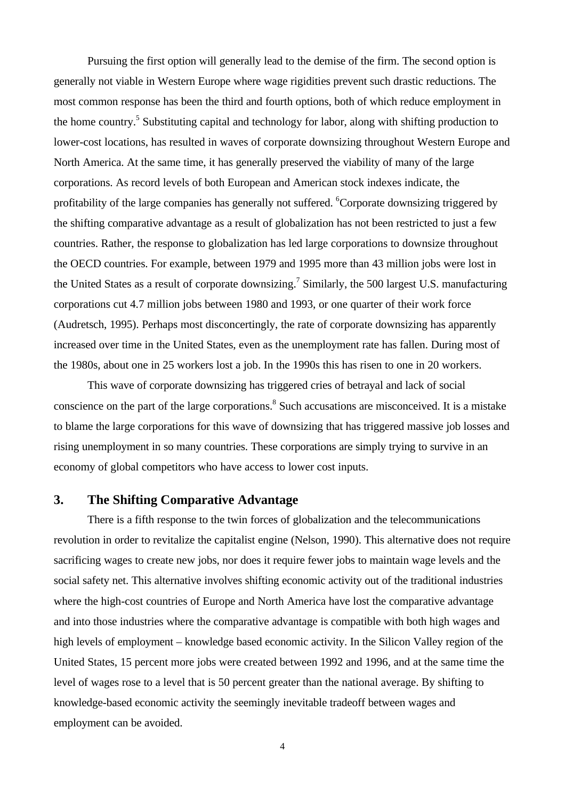Pursuing the first option will generally lead to the demise of the firm. The second option is generally not viable in Western Europe where wage rigidities prevent such drastic reductions. The most common response has been the third and fourth options, both of which reduce employment in the home country.<sup>5</sup> Substituting capital and technology for labor, along with shifting production to lower-cost locations, has resulted in waves of corporate downsizing throughout Western Europe and North America. At the same time, it has generally preserved the viability of many of the large corporations. As record levels of both European and American stock indexes indicate, the profitability of the large companies has generally not suffered. <sup>6</sup>Corporate downsizing triggered by the shifting comparative advantage as a result of globalization has not been restricted to just a few countries. Rather, the response to globalization has led large corporations to downsize throughout the OECD countries. For example, between 1979 and 1995 more than 43 million jobs were lost in the United States as a result of corporate downsizing.<sup>7</sup> Similarly, the 500 largest U.S. manufacturing corporations cut 4.7 million jobs between 1980 and 1993, or one quarter of their work force (Audretsch, 1995). Perhaps most disconcertingly, the rate of corporate downsizing has apparently increased over time in the United States, even as the unemployment rate has fallen. During most of the 1980s, about one in 25 workers lost a job. In the 1990s this has risen to one in 20 workers.

This wave of corporate downsizing has triggered cries of betrayal and lack of social conscience on the part of the large corporations.<sup>8</sup> Such accusations are misconceived. It is a mistake to blame the large corporations for this wave of downsizing that has triggered massive job losses and rising unemployment in so many countries. These corporations are simply trying to survive in an economy of global competitors who have access to lower cost inputs.

# **3. The Shifting Comparative Advantage**

There is a fifth response to the twin forces of globalization and the telecommunications revolution in order to revitalize the capitalist engine (Nelson, 1990). This alternative does not require sacrificing wages to create new jobs, nor does it require fewer jobs to maintain wage levels and the social safety net. This alternative involves shifting economic activity out of the traditional industries where the high-cost countries of Europe and North America have lost the comparative advantage and into those industries where the comparative advantage is compatible with both high wages and high levels of employment – knowledge based economic activity. In the Silicon Valley region of the United States, 15 percent more jobs were created between 1992 and 1996, and at the same time the level of wages rose to a level that is 50 percent greater than the national average. By shifting to knowledge-based economic activity the seemingly inevitable tradeoff between wages and employment can be avoided.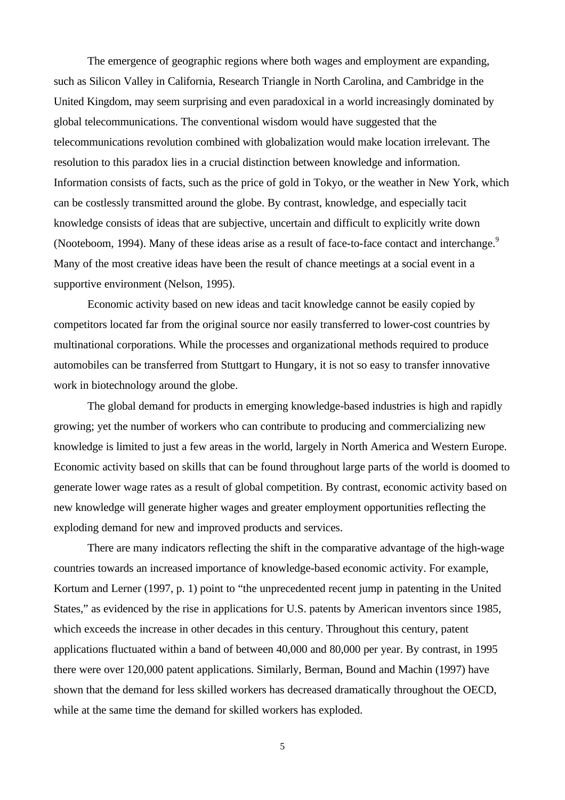The emergence of geographic regions where both wages and employment are expanding, such as Silicon Valley in California, Research Triangle in North Carolina, and Cambridge in the United Kingdom, may seem surprising and even paradoxical in a world increasingly dominated by global telecommunications. The conventional wisdom would have suggested that the telecommunications revolution combined with globalization would make location irrelevant. The resolution to this paradox lies in a crucial distinction between knowledge and information. Information consists of facts, such as the price of gold in Tokyo, or the weather in New York, which can be costlessly transmitted around the globe. By contrast, knowledge, and especially tacit knowledge consists of ideas that are subjective, uncertain and difficult to explicitly write down (Nooteboom, 1994). Many of these ideas arise as a result of face-to-face contact and interchange.<sup>9</sup> Many of the most creative ideas have been the result of chance meetings at a social event in a supportive environment (Nelson, 1995).

Economic activity based on new ideas and tacit knowledge cannot be easily copied by competitors located far from the original source nor easily transferred to lower-cost countries by multinational corporations. While the processes and organizational methods required to produce automobiles can be transferred from Stuttgart to Hungary, it is not so easy to transfer innovative work in biotechnology around the globe.

The global demand for products in emerging knowledge-based industries is high and rapidly growing; yet the number of workers who can contribute to producing and commercializing new knowledge is limited to just a few areas in the world, largely in North America and Western Europe. Economic activity based on skills that can be found throughout large parts of the world is doomed to generate lower wage rates as a result of global competition. By contrast, economic activity based on new knowledge will generate higher wages and greater employment opportunities reflecting the exploding demand for new and improved products and services.

There are many indicators reflecting the shift in the comparative advantage of the high-wage countries towards an increased importance of knowledge-based economic activity. For example, Kortum and Lerner (1997, p. 1) point to "the unprecedented recent jump in patenting in the United States," as evidenced by the rise in applications for U.S. patents by American inventors since 1985, which exceeds the increase in other decades in this century. Throughout this century, patent applications fluctuated within a band of between 40,000 and 80,000 per year. By contrast, in 1995 there were over 120,000 patent applications. Similarly, Berman, Bound and Machin (1997) have shown that the demand for less skilled workers has decreased dramatically throughout the OECD, while at the same time the demand for skilled workers has exploded.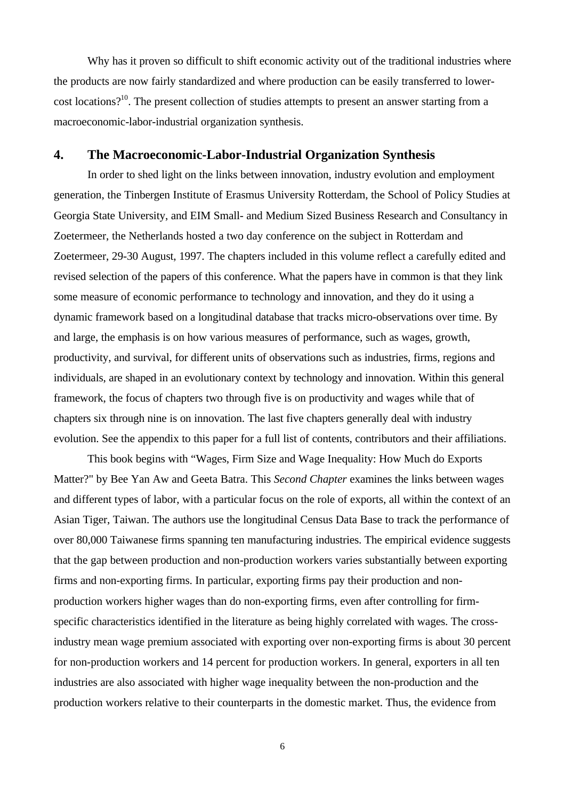Why has it proven so difficult to shift economic activity out of the traditional industries where the products are now fairly standardized and where production can be easily transferred to lowercost locations?<sup>10</sup>. The present collection of studies attempts to present an answer starting from a macroeconomic-labor-industrial organization synthesis.

# **4. The Macroeconomic-Labor-Industrial Organization Synthesis**

In order to shed light on the links between innovation, industry evolution and employment generation, the Tinbergen Institute of Erasmus University Rotterdam, the School of Policy Studies at Georgia State University, and EIM Small- and Medium Sized Business Research and Consultancy in Zoetermeer, the Netherlands hosted a two day conference on the subject in Rotterdam and Zoetermeer, 29-30 August, 1997. The chapters included in this volume reflect a carefully edited and revised selection of the papers of this conference. What the papers have in common is that they link some measure of economic performance to technology and innovation, and they do it using a dynamic framework based on a longitudinal database that tracks micro-observations over time. By and large, the emphasis is on how various measures of performance, such as wages, growth, productivity, and survival, for different units of observations such as industries, firms, regions and individuals, are shaped in an evolutionary context by technology and innovation. Within this general framework, the focus of chapters two through five is on productivity and wages while that of chapters six through nine is on innovation. The last five chapters generally deal with industry evolution. See the appendix to this paper for a full list of contents, contributors and their affiliations.

This book begins with "Wages, Firm Size and Wage Inequality: How Much do Exports Matter?" by Bee Yan Aw and Geeta Batra. This *Second Chapter* examines the links between wages and different types of labor, with a particular focus on the role of exports, all within the context of an Asian Tiger, Taiwan. The authors use the longitudinal Census Data Base to track the performance of over 80,000 Taiwanese firms spanning ten manufacturing industries. The empirical evidence suggests that the gap between production and non-production workers varies substantially between exporting firms and non-exporting firms. In particular, exporting firms pay their production and nonproduction workers higher wages than do non-exporting firms, even after controlling for firmspecific characteristics identified in the literature as being highly correlated with wages. The crossindustry mean wage premium associated with exporting over non-exporting firms is about 30 percent for non-production workers and 14 percent for production workers. In general, exporters in all ten industries are also associated with higher wage inequality between the non-production and the production workers relative to their counterparts in the domestic market. Thus, the evidence from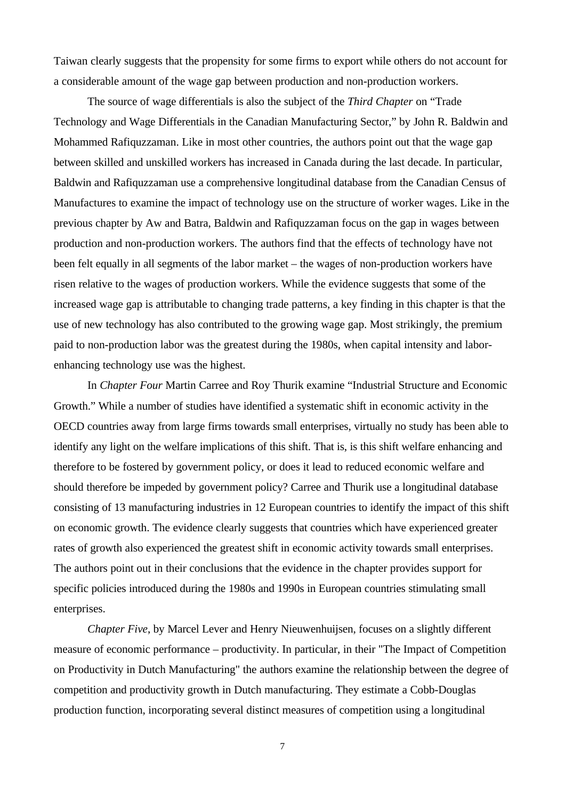Taiwan clearly suggests that the propensity for some firms to export while others do not account for a considerable amount of the wage gap between production and non-production workers.

The source of wage differentials is also the subject of the *Third Chapter* on "Trade Technology and Wage Differentials in the Canadian Manufacturing Sector," by John R. Baldwin and Mohammed Rafiquzzaman. Like in most other countries, the authors point out that the wage gap between skilled and unskilled workers has increased in Canada during the last decade. In particular, Baldwin and Rafiquzzaman use a comprehensive longitudinal database from the Canadian Census of Manufactures to examine the impact of technology use on the structure of worker wages. Like in the previous chapter by Aw and Batra, Baldwin and Rafiquzzaman focus on the gap in wages between production and non-production workers. The authors find that the effects of technology have not been felt equally in all segments of the labor market – the wages of non-production workers have risen relative to the wages of production workers. While the evidence suggests that some of the increased wage gap is attributable to changing trade patterns, a key finding in this chapter is that the use of new technology has also contributed to the growing wage gap. Most strikingly, the premium paid to non-production labor was the greatest during the 1980s, when capital intensity and laborenhancing technology use was the highest.

In *Chapter Four* Martin Carree and Roy Thurik examine "Industrial Structure and Economic Growth." While a number of studies have identified a systematic shift in economic activity in the OECD countries away from large firms towards small enterprises, virtually no study has been able to identify any light on the welfare implications of this shift. That is, is this shift welfare enhancing and therefore to be fostered by government policy, or does it lead to reduced economic welfare and should therefore be impeded by government policy? Carree and Thurik use a longitudinal database consisting of 13 manufacturing industries in 12 European countries to identify the impact of this shift on economic growth. The evidence clearly suggests that countries which have experienced greater rates of growth also experienced the greatest shift in economic activity towards small enterprises. The authors point out in their conclusions that the evidence in the chapter provides support for specific policies introduced during the 1980s and 1990s in European countries stimulating small enterprises.

*Chapter Five*, by Marcel Lever and Henry Nieuwenhuijsen, focuses on a slightly different measure of economic performance – productivity. In particular, in their "The Impact of Competition on Productivity in Dutch Manufacturing" the authors examine the relationship between the degree of competition and productivity growth in Dutch manufacturing. They estimate a Cobb-Douglas production function, incorporating several distinct measures of competition using a longitudinal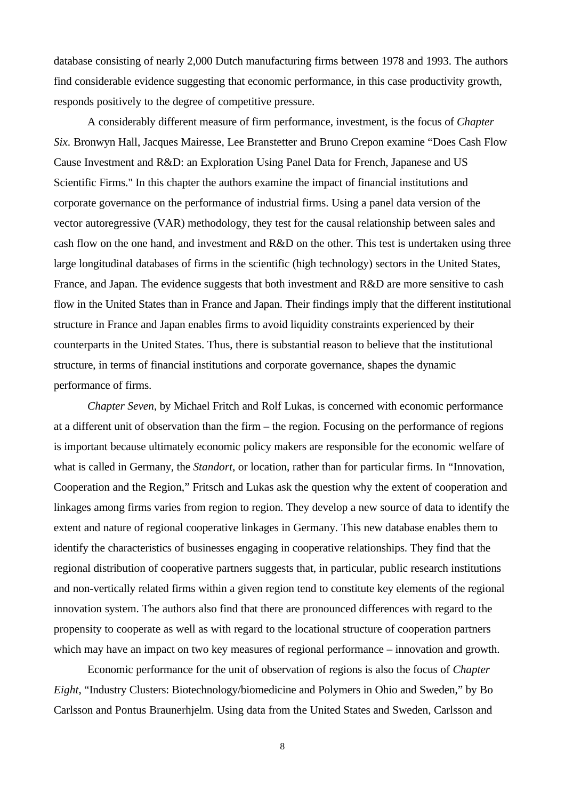database consisting of nearly 2,000 Dutch manufacturing firms between 1978 and 1993. The authors find considerable evidence suggesting that economic performance, in this case productivity growth, responds positively to the degree of competitive pressure.

A considerably different measure of firm performance, investment, is the focus of *Chapter Six*. Bronwyn Hall, Jacques Mairesse, Lee Branstetter and Bruno Crepon examine "Does Cash Flow Cause Investment and R&D: an Exploration Using Panel Data for French, Japanese and US Scientific Firms." In this chapter the authors examine the impact of financial institutions and corporate governance on the performance of industrial firms. Using a panel data version of the vector autoregressive (VAR) methodology, they test for the causal relationship between sales and cash flow on the one hand, and investment and R&D on the other. This test is undertaken using three large longitudinal databases of firms in the scientific (high technology) sectors in the United States, France, and Japan. The evidence suggests that both investment and R&D are more sensitive to cash flow in the United States than in France and Japan. Their findings imply that the different institutional structure in France and Japan enables firms to avoid liquidity constraints experienced by their counterparts in the United States. Thus, there is substantial reason to believe that the institutional structure, in terms of financial institutions and corporate governance, shapes the dynamic performance of firms.

*Chapter Seven*, by Michael Fritch and Rolf Lukas, is concerned with economic performance at a different unit of observation than the firm – the region. Focusing on the performance of regions is important because ultimately economic policy makers are responsible for the economic welfare of what is called in Germany, the *Standort*, or location, rather than for particular firms. In "Innovation, Cooperation and the Region," Fritsch and Lukas ask the question why the extent of cooperation and linkages among firms varies from region to region. They develop a new source of data to identify the extent and nature of regional cooperative linkages in Germany. This new database enables them to identify the characteristics of businesses engaging in cooperative relationships. They find that the regional distribution of cooperative partners suggests that, in particular, public research institutions and non-vertically related firms within a given region tend to constitute key elements of the regional innovation system. The authors also find that there are pronounced differences with regard to the propensity to cooperate as well as with regard to the locational structure of cooperation partners which may have an impact on two key measures of regional performance – innovation and growth.

Economic performance for the unit of observation of regions is also the focus of *Chapter Eight*, "Industry Clusters: Biotechnology/biomedicine and Polymers in Ohio and Sweden," by Bo Carlsson and Pontus Braunerhjelm. Using data from the United States and Sweden, Carlsson and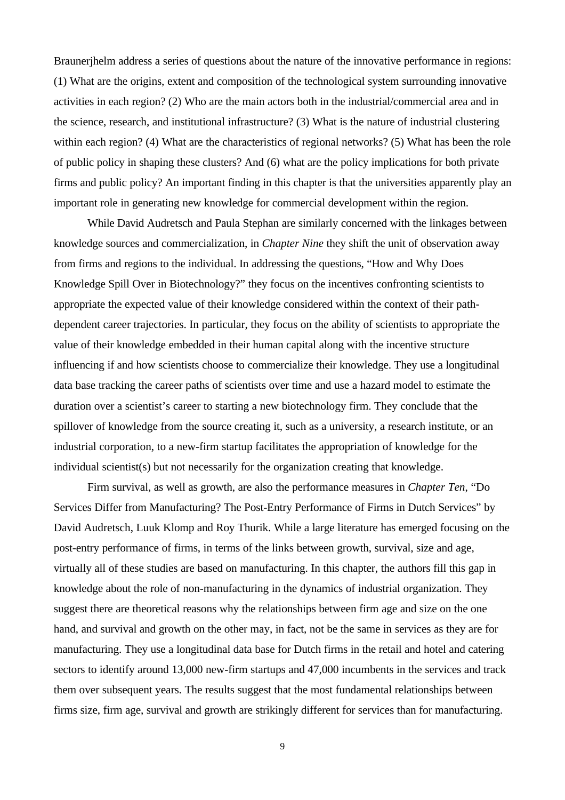Braunerjhelm address a series of questions about the nature of the innovative performance in regions: (1) What are the origins, extent and composition of the technological system surrounding innovative activities in each region? (2) Who are the main actors both in the industrial/commercial area and in the science, research, and institutional infrastructure? (3) What is the nature of industrial clustering within each region? (4) What are the characteristics of regional networks? (5) What has been the role of public policy in shaping these clusters? And (6) what are the policy implications for both private firms and public policy? An important finding in this chapter is that the universities apparently play an important role in generating new knowledge for commercial development within the region.

While David Audretsch and Paula Stephan are similarly concerned with the linkages between knowledge sources and commercialization, in *Chapter Nine* they shift the unit of observation away from firms and regions to the individual. In addressing the questions, "How and Why Does Knowledge Spill Over in Biotechnology?" they focus on the incentives confronting scientists to appropriate the expected value of their knowledge considered within the context of their pathdependent career trajectories. In particular, they focus on the ability of scientists to appropriate the value of their knowledge embedded in their human capital along with the incentive structure influencing if and how scientists choose to commercialize their knowledge. They use a longitudinal data base tracking the career paths of scientists over time and use a hazard model to estimate the duration over a scientist's career to starting a new biotechnology firm. They conclude that the spillover of knowledge from the source creating it, such as a university, a research institute, or an industrial corporation, to a new-firm startup facilitates the appropriation of knowledge for the individual scientist(s) but not necessarily for the organization creating that knowledge.

Firm survival, as well as growth, are also the performance measures in *Chapter Ten*, "Do Services Differ from Manufacturing? The Post-Entry Performance of Firms in Dutch Services" by David Audretsch, Luuk Klomp and Roy Thurik. While a large literature has emerged focusing on the post-entry performance of firms, in terms of the links between growth, survival, size and age, virtually all of these studies are based on manufacturing. In this chapter, the authors fill this gap in knowledge about the role of non-manufacturing in the dynamics of industrial organization. They suggest there are theoretical reasons why the relationships between firm age and size on the one hand, and survival and growth on the other may, in fact, not be the same in services as they are for manufacturing. They use a longitudinal data base for Dutch firms in the retail and hotel and catering sectors to identify around 13,000 new-firm startups and 47,000 incumbents in the services and track them over subsequent years. The results suggest that the most fundamental relationships between firms size, firm age, survival and growth are strikingly different for services than for manufacturing.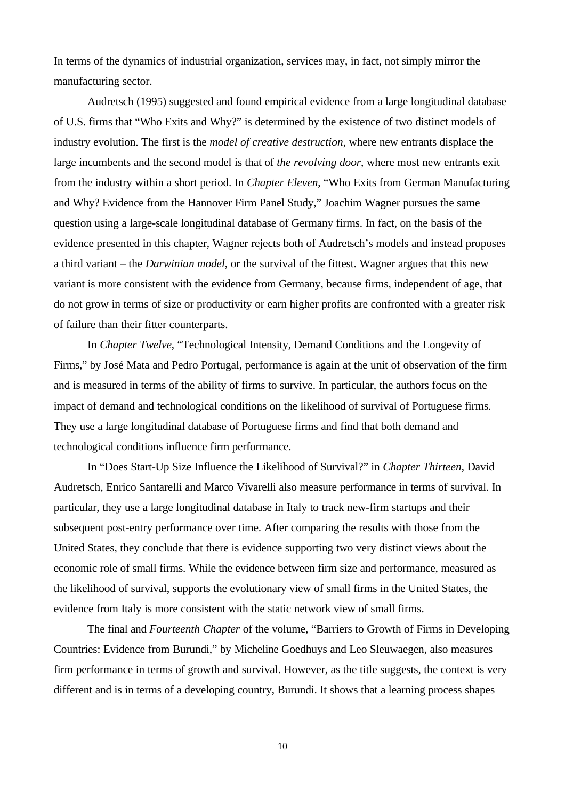In terms of the dynamics of industrial organization, services may, in fact, not simply mirror the manufacturing sector.

Audretsch (1995) suggested and found empirical evidence from a large longitudinal database of U.S. firms that "Who Exits and Why?" is determined by the existence of two distinct models of industry evolution. The first is the *model of creative destruction,* where new entrants displace the large incumbents and the second model is that of *the revolving door*, where most new entrants exit from the industry within a short period. In *Chapter Eleven*, "Who Exits from German Manufacturing and Why? Evidence from the Hannover Firm Panel Study," Joachim Wagner pursues the same question using a large-scale longitudinal database of Germany firms. In fact, on the basis of the evidence presented in this chapter, Wagner rejects both of Audretsch's models and instead proposes a third variant – the *Darwinian model*, or the survival of the fittest. Wagner argues that this new variant is more consistent with the evidence from Germany, because firms, independent of age, that do not grow in terms of size or productivity or earn higher profits are confronted with a greater risk of failure than their fitter counterparts.

In *Chapter Twelve*, "Technological Intensity, Demand Conditions and the Longevity of Firms," by José Mata and Pedro Portugal, performance is again at the unit of observation of the firm and is measured in terms of the ability of firms to survive. In particular, the authors focus on the impact of demand and technological conditions on the likelihood of survival of Portuguese firms. They use a large longitudinal database of Portuguese firms and find that both demand and technological conditions influence firm performance.

In "Does Start-Up Size Influence the Likelihood of Survival?" in *Chapter Thirteen*, David Audretsch, Enrico Santarelli and Marco Vivarelli also measure performance in terms of survival. In particular, they use a large longitudinal database in Italy to track new-firm startups and their subsequent post-entry performance over time. After comparing the results with those from the United States, they conclude that there is evidence supporting two very distinct views about the economic role of small firms. While the evidence between firm size and performance, measured as the likelihood of survival, supports the evolutionary view of small firms in the United States, the evidence from Italy is more consistent with the static network view of small firms.

The final and *Fourteenth Chapter* of the volume, "Barriers to Growth of Firms in Developing Countries: Evidence from Burundi," by Micheline Goedhuys and Leo Sleuwaegen, also measures firm performance in terms of growth and survival. However, as the title suggests, the context is very different and is in terms of a developing country, Burundi. It shows that a learning process shapes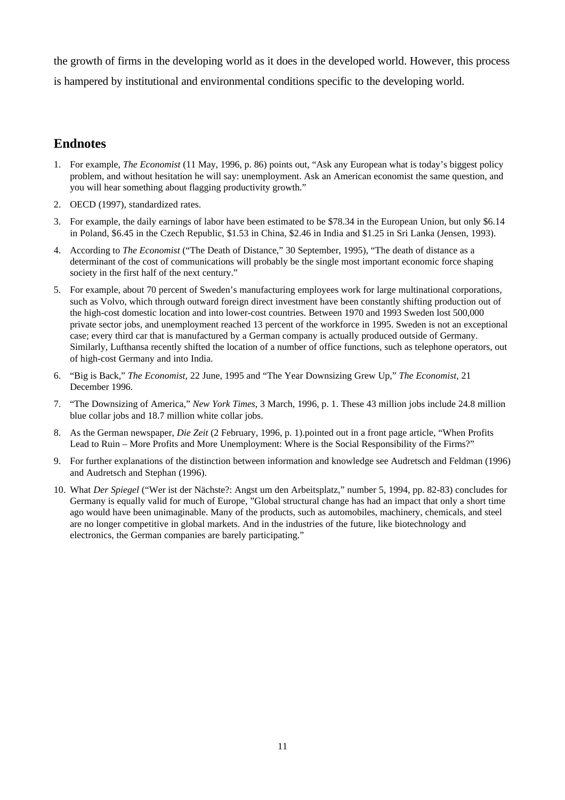the growth of firms in the developing world as it does in the developed world. However, this process is hampered by institutional and environmental conditions specific to the developing world.

# **Endnotes**

- 1. For example, *The Economist* (11 May, 1996, p. 86) points out, "Ask any European what is today's biggest policy problem, and without hesitation he will say: unemployment. Ask an American economist the same question, and you will hear something about flagging productivity growth."
- 2. OECD (1997), standardized rates.
- 3. For example, the daily earnings of labor have been estimated to be \$78.34 in the European Union, but only \$6.14 in Poland, \$6.45 in the Czech Republic, \$1.53 in China, \$2.46 in India and \$1.25 in Sri Lanka (Jensen, 1993).
- 4. According to *The Economist* ("The Death of Distance," 30 September, 1995), "The death of distance as a determinant of the cost of communications will probably be the single most important economic force shaping society in the first half of the next century."
- 5. For example, about 70 percent of Sweden's manufacturing employees work for large multinational corporations, such as Volvo, which through outward foreign direct investment have been constantly shifting production out of the high-cost domestic location and into lower-cost countries. Between 1970 and 1993 Sweden lost 500,000 private sector jobs, and unemployment reached 13 percent of the workforce in 1995. Sweden is not an exceptional case; every third car that is manufactured by a German company is actually produced outside of Germany. Similarly, Lufthansa recently shifted the location of a number of office functions, such as telephone operators, out of high-cost Germany and into India.
- 6. "Big is Back," *The Economist*, 22 June, 1995 and "The Year Downsizing Grew Up," *The Economist*, 21 December 1996.
- 7. "The Downsizing of America," *New York Times*, 3 March, 1996, p. 1. These 43 million jobs include 24.8 million blue collar jobs and 18.7 million white collar jobs.
- 8. As the German newspaper, *Die Zeit* (2 February, 1996, p. 1).pointed out in a front page article, "When Profits Lead to Ruin – More Profits and More Unemployment: Where is the Social Responsibility of the Firms?"
- 9. For further explanations of the distinction between information and knowledge see Audretsch and Feldman (1996) and Audretsch and Stephan (1996).
- 10. What *Der Spiegel* ("Wer ist der Nächste?: Angst um den Arbeitsplatz," number 5, 1994, pp. 82-83) concludes for Germany is equally valid for much of Europe, "Global structural change has had an impact that only a short time ago would have been unimaginable. Many of the products, such as automobiles, machinery, chemicals, and steel are no longer competitive in global markets. And in the industries of the future, like biotechnology and electronics, the German companies are barely participating."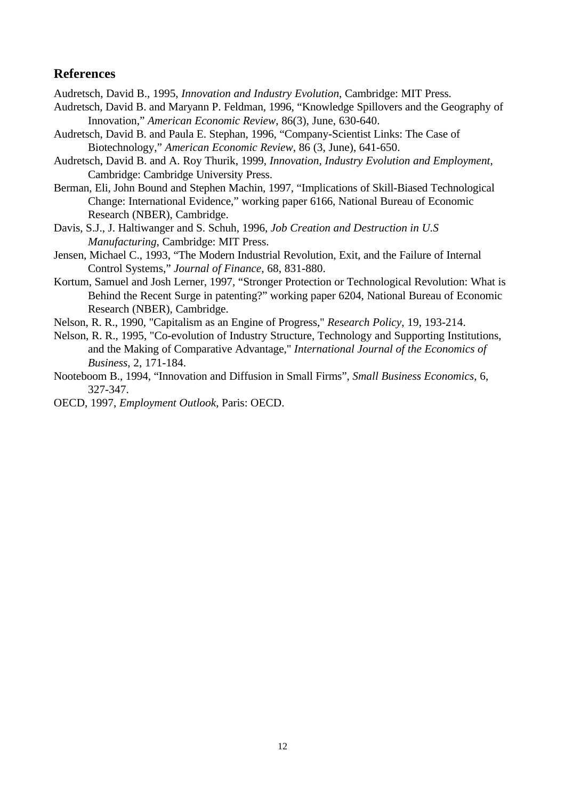# **References**

Audretsch, David B., 1995, *Innovation and Industry Evolution*, Cambridge: MIT Press.

- Audretsch, David B. and Maryann P. Feldman, 1996, "Knowledge Spillovers and the Geography of Innovation," *American Economic Review*, 86(3), June, 630-640.
- Audretsch, David B. and Paula E. Stephan, 1996, "Company-Scientist Links: The Case of Biotechnology," *American Economic Review*, 86 (3, June), 641-650.
- Audretsch, David B. and A. Roy Thurik, 1999, *Innovation, Industry Evolution and Employment*, Cambridge: Cambridge University Press.
- Berman, Eli, John Bound and Stephen Machin, 1997, "Implications of Skill-Biased Technological Change: International Evidence," working paper 6166, National Bureau of Economic Research (NBER), Cambridge.
- Davis, S.J., J. Haltiwanger and S. Schuh, 1996, *Job Creation and Destruction in U.S Manufacturing*, Cambridge: MIT Press.
- Jensen, Michael C., 1993, "The Modern Industrial Revolution, Exit, and the Failure of Internal Control Systems," *Journal of Finance*, 68, 831-880.
- Kortum, Samuel and Josh Lerner, 1997, "Stronger Protection or Technological Revolution: What is Behind the Recent Surge in patenting?" working paper 6204, National Bureau of Economic Research (NBER), Cambridge.
- Nelson, R. R., 1990, "Capitalism as an Engine of Progress," *Research Policy*, 19, 193-214.
- Nelson, R. R., 1995, "Co-evolution of Industry Structure, Technology and Supporting Institutions, and the Making of Comparative Advantage," *International Journal of the Economics of Business*, 2, 171-184.
- Nooteboom B., 1994, "Innovation and Diffusion in Small Firms", *Small Business Economics*, 6, 327-347.
- OECD, 1997, *Employment Outlook*, Paris: OECD.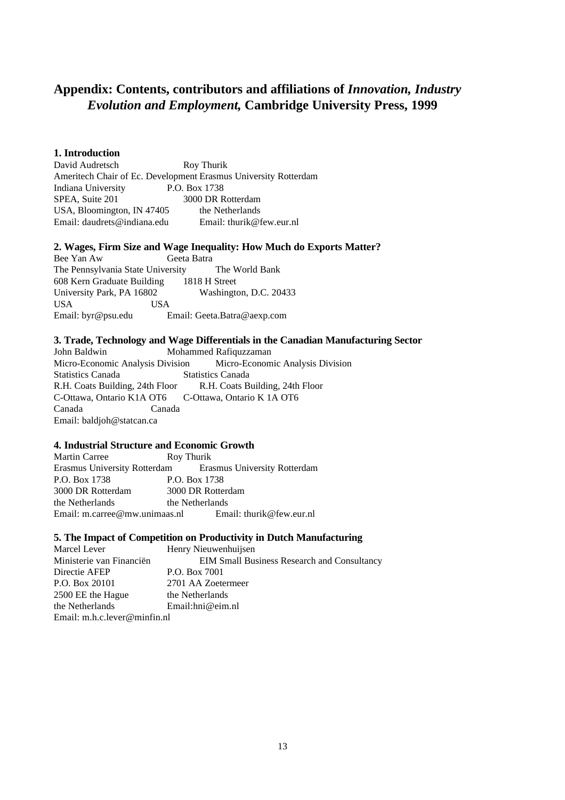# **Appendix: Contents, contributors and affiliations of** *Innovation, Industry Evolution and Employment,* **Cambridge University Press, 1999**

## **1. Introduction**

David Audretsch Roy Thurik Ameritech Chair of Ec. Development Erasmus University Rotterdam Indiana University P.O. Box 1738 SPEA, Suite 201 3000 DR Rotterdam USA, Bloomington, IN 47405 the Netherlands Email: daudrets@indiana.edu Email: thurik@few.eur.nl

## **2. Wages, Firm Size and Wage Inequality: How Much do Exports Matter?**

Bee Yan Aw Geeta Batra The Pennsylvania State University The World Bank 608 Kern Graduate Building 1818 H Street University Park, PA 16802 Washington, D.C. 20433 USA USA Email: byr@psu.edu Email: Geeta.Batra@aexp.com

#### **3. Trade, Technology and Wage Differentials in the Canadian Manufacturing Sector**

John Baldwin Mohammed Rafiquzzaman Micro-Economic Analysis Division Micro-Economic Analysis Division Statistics Canada Statistics Canada R.H. Coats Building, 24th Floor R.H. Coats Building, 24th Floor C-Ottawa, Ontario K1A OT6 C-Ottawa, Ontario K 1A OT6 Canada Canada Email: baldjoh@statcan.ca

## **4. Industrial Structure and Economic Growth**

Martin Carree Roy Thurik Erasmus University Rotterdam Erasmus University Rotterdam P.O. Box 1738 P.O. Box 1738 3000 DR Rotterdam 3000 DR Rotterdam the Netherlands the Netherlands Email: m.carree@mw.unimaas.nl Email: thurik@few.eur.nl

## **5. The Impact of Competition on Productivity in Dutch Manufacturing**

| Marcel Lever                      | Henry Nieuwenhuijsen                        |
|-----------------------------------|---------------------------------------------|
| Ministerie van Financiën          | EIM Small Business Research and Consultancy |
| Directie AFEP                     | P.O. Box 7001                               |
| P.O. Box 20101                    | 2701 AA Zoetermeer                          |
| 2500 EE the Hague                 | the Netherlands                             |
| the Netherlands                   | Email: hni@eim.nl                           |
| Email: $m.h.c.$ lever @ minfin.nl |                                             |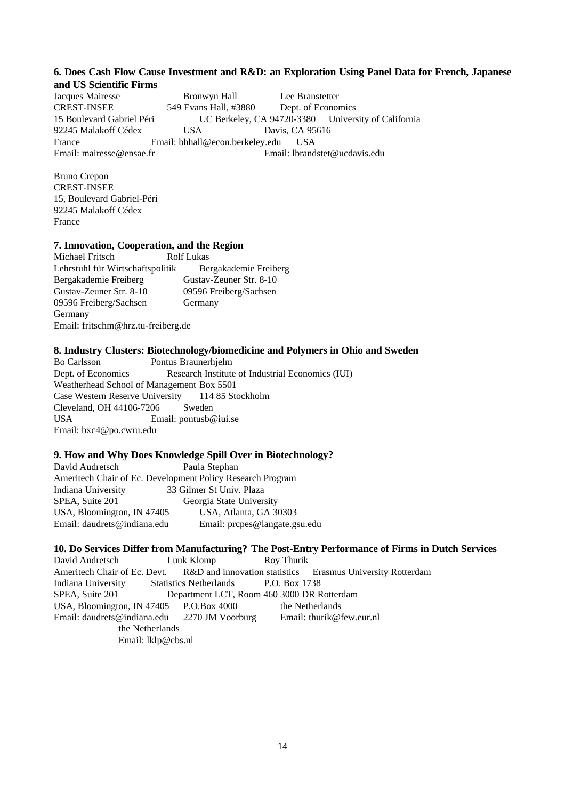## **6. Does Cash Flow Cause Investment and R&D: an Exploration Using Panel Data for French, Japanese and US Scientific Firms**

Jacques Mairesse Bronwyn Hall Lee Branstetter CREST-INSEE 549 Evans Hall, #3880 Dept. of Economics 15 Boulevard Gabriel Péri UC Berkeley, CA 94720-3380 University of California 92245 Malakoff Cédex USA Davis, CA 95616 France Email: bhhall@econ.berkeley.edu USA Email: mairesse@ensae.fr Email: lbrandstet@ucdavis.edu

Bruno Crepon CREST-INSEE 15, Boulevard Gabriel-Péri 92245 Malakoff Cédex France

#### **7. Innovation, Cooperation, and the Region**

Michael Fritsch Rolf Lukas Lehrstuhl für Wirtschaftspolitik Bergakademie Freiberg Bergakademie Freiberg Gustav-Zeuner Str. 8-10 Gustav-Zeuner Str. 8-10 09596 Freiberg/Sachsen 09596 Freiberg/Sachsen Germany Germany Email: fritschm@hrz.tu-freiberg.de

#### **8. Industry Clusters: Biotechnology/biomedicine and Polymers in Ohio and Sweden**

Bo Carlsson Pontus Braunerhjelm Dept. of Economics Research Institute of Industrial Economics (IUI) Weatherhead School of Management Box 5501 Case Western Reserve University 114 85 Stockholm Cleveland, OH 44106-7206 Sweden USA Email: pontusb@iui.se Email: bxc4@po.cwru.edu

#### **9. How and Why Does Knowledge Spill Over in Biotechnology?**

David Audretsch Paula Stephan Ameritech Chair of Ec. Development Policy Research Program Indiana University 33 Gilmer St Univ. Plaza SPEA, Suite 201 Georgia State University USA, Bloomington, IN 47405 USA, Atlanta, GA 30303 Email: daudrets@indiana.edu Email: prcpes@langate.gsu.edu

## **10. Do Services Differ from Manufacturing? The Post-Entry Performance of Firms in Dutch Services**

David Audretsch Luuk Klomp Roy Thurik Ameritech Chair of Ec. Devt. R&D and innovation statistics Erasmus University Rotterdam Indiana University Statistics Netherlands P.O. Box 1738 SPEA, Suite 201 Department LCT, Room 460 3000 DR Rotterdam USA, Bloomington, IN 47405 P.O.Box 4000 the Netherlands Email: daudrets@indiana.edu 2270 JM Voorburg Email: thurik@few.eur.nl the Netherlands Email: lklp@cbs.nl